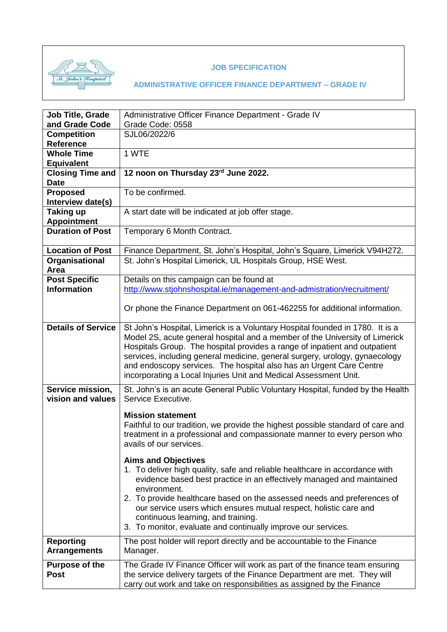

#### **JOB SPECIFICATION**

| <b>Job Title, Grade</b>              | Administrative Officer Finance Department - Grade IV                                                                                                        |
|--------------------------------------|-------------------------------------------------------------------------------------------------------------------------------------------------------------|
| and Grade Code                       | Grade Code: 0558                                                                                                                                            |
| <b>Competition</b>                   | SJL06/2022/6                                                                                                                                                |
| <b>Reference</b>                     |                                                                                                                                                             |
| <b>Whole Time</b>                    | 1 WTE                                                                                                                                                       |
| <b>Equivalent</b>                    |                                                                                                                                                             |
| <b>Closing Time and</b>              | 12 noon on Thursday 23rd June 2022.                                                                                                                         |
| <b>Date</b>                          |                                                                                                                                                             |
| <b>Proposed</b><br>Interview date(s) | To be confirmed.                                                                                                                                            |
| Taking up<br><b>Appointment</b>      | A start date will be indicated at job offer stage.                                                                                                          |
| <b>Duration of Post</b>              | Temporary 6 Month Contract.                                                                                                                                 |
| <b>Location of Post</b>              | Finance Department, St. John's Hospital, John's Square, Limerick V94H272.                                                                                   |
| Organisational                       | St. John's Hospital Limerick, UL Hospitals Group, HSE West.                                                                                                 |
| Area                                 |                                                                                                                                                             |
| <b>Post Specific</b>                 | Details on this campaign can be found at                                                                                                                    |
| <b>Information</b>                   | http://www.stjohnshospital.ie/management-and-admistration/recruitment/                                                                                      |
|                                      |                                                                                                                                                             |
|                                      | Or phone the Finance Department on 061-462255 for additional information.                                                                                   |
| <b>Details of Service</b>            | St John's Hospital, Limerick is a Voluntary Hospital founded in 1780. It is a                                                                               |
|                                      | Model 2S, acute general hospital and a member of the University of Limerick                                                                                 |
|                                      | Hospitals Group. The hospital provides a range of inpatient and outpatient                                                                                  |
|                                      | services, including general medicine, general surgery, urology, gynaecology                                                                                 |
|                                      | and endoscopy services. The hospital also has an Urgent Care Centre                                                                                         |
|                                      | incorporating a Local Injuries Unit and Medical Assessment Unit.                                                                                            |
| Service mission,                     | St. John's is an acute General Public Voluntary Hospital, funded by the Health                                                                              |
| vision and values                    | Service Executive.                                                                                                                                          |
|                                      |                                                                                                                                                             |
|                                      | <b>Mission statement</b>                                                                                                                                    |
|                                      | Faithful to our tradition, we provide the highest possible standard of care and<br>treatment in a professional and compassionate manner to every person who |
|                                      | avails of our services.                                                                                                                                     |
|                                      |                                                                                                                                                             |
|                                      | <b>Aims and Objectives</b>                                                                                                                                  |
|                                      | 1. To deliver high quality, safe and reliable healthcare in accordance with                                                                                 |
|                                      | evidence based best practice in an effectively managed and maintained                                                                                       |
|                                      | environment.                                                                                                                                                |
|                                      | 2. To provide healthcare based on the assessed needs and preferences of                                                                                     |
|                                      | our service users which ensures mutual respect, holistic care and                                                                                           |
|                                      | continuous learning, and training.                                                                                                                          |
|                                      | 3. To monitor, evaluate and continually improve our services.                                                                                               |
| <b>Reporting</b>                     | The post holder will report directly and be accountable to the Finance                                                                                      |
| <b>Arrangements</b>                  | Manager.                                                                                                                                                    |
| <b>Purpose of the</b>                | The Grade IV Finance Officer will work as part of the finance team ensuring                                                                                 |
| <b>Post</b>                          | the service delivery targets of the Finance Department are met. They will                                                                                   |
|                                      | carry out work and take on responsibilities as assigned by the Finance                                                                                      |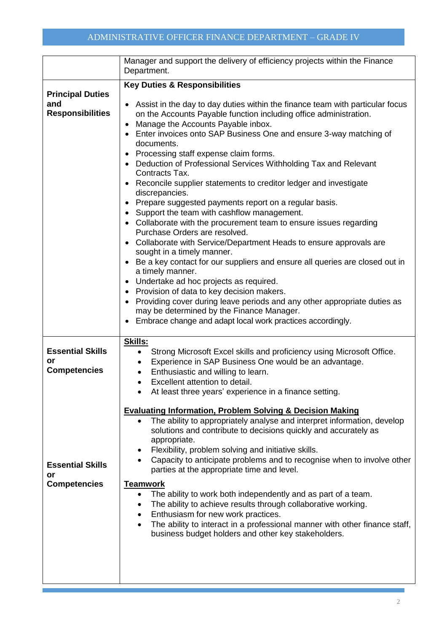|                                                                                                              | Manager and support the delivery of efficiency projects within the Finance<br>Department.                                                                                                                                                                                                                                                                                                                                                                                                                                                                                                                                                                                                                                                                                                                                                                                                                                                                                                                                                                                                                                                                                                                                                         |
|--------------------------------------------------------------------------------------------------------------|---------------------------------------------------------------------------------------------------------------------------------------------------------------------------------------------------------------------------------------------------------------------------------------------------------------------------------------------------------------------------------------------------------------------------------------------------------------------------------------------------------------------------------------------------------------------------------------------------------------------------------------------------------------------------------------------------------------------------------------------------------------------------------------------------------------------------------------------------------------------------------------------------------------------------------------------------------------------------------------------------------------------------------------------------------------------------------------------------------------------------------------------------------------------------------------------------------------------------------------------------|
| <b>Principal Duties</b><br>and<br><b>Responsibilities</b>                                                    | <b>Key Duties &amp; Responsibilities</b><br>Assist in the day to day duties within the finance team with particular focus<br>on the Accounts Payable function including office administration.<br>Manage the Accounts Payable inbox.<br>Enter invoices onto SAP Business One and ensure 3-way matching of<br>documents.<br>Processing staff expense claim forms.<br>• Deduction of Professional Services Withholding Tax and Relevant<br>Contracts Tax.<br>Reconcile supplier statements to creditor ledger and investigate<br>discrepancies.<br>Prepare suggested payments report on a regular basis.<br>Support the team with cashflow management.<br>• Collaborate with the procurement team to ensure issues regarding<br>Purchase Orders are resolved.<br>Collaborate with Service/Department Heads to ensure approvals are<br>sought in a timely manner.<br>Be a key contact for our suppliers and ensure all queries are closed out in<br>a timely manner.<br>• Undertake ad hoc projects as required.<br>Provision of data to key decision makers.<br>Providing cover during leave periods and any other appropriate duties as<br>may be determined by the Finance Manager.<br>Embrace change and adapt local work practices accordingly. |
| <b>Essential Skills</b><br>or<br><b>Competencies</b><br><b>Essential Skills</b><br>or<br><b>Competencies</b> | Skills:<br>Strong Microsoft Excel skills and proficiency using Microsoft Office.<br>$\bullet$<br>Experience in SAP Business One would be an advantage.<br>$\bullet$<br>Enthusiastic and willing to learn.<br>$\bullet$<br>Excellent attention to detail.<br>At least three years' experience in a finance setting.<br><b>Evaluating Information, Problem Solving &amp; Decision Making</b><br>The ability to appropriately analyse and interpret information, develop<br>solutions and contribute to decisions quickly and accurately as<br>appropriate.<br>Flexibility, problem solving and initiative skills.<br>Capacity to anticipate problems and to recognise when to involve other<br>parties at the appropriate time and level.<br><b>Teamwork</b><br>The ability to work both independently and as part of a team.<br>The ability to achieve results through collaborative working.<br>Enthusiasm for new work practices.<br>$\bullet$<br>The ability to interact in a professional manner with other finance staff,<br>$\bullet$<br>business budget holders and other key stakeholders.                                                                                                                                                 |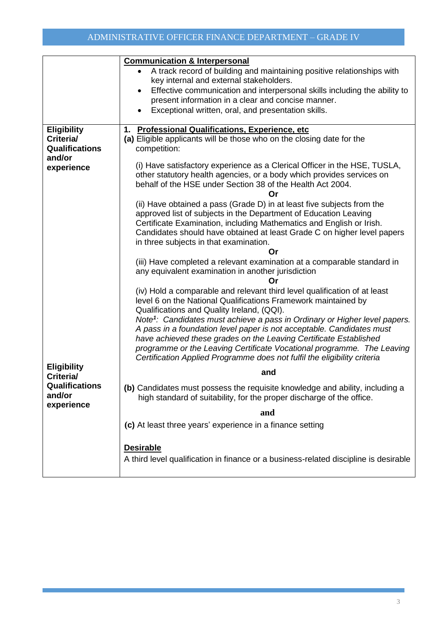|                                 | <b>Communication &amp; Interpersonal</b>                                               |
|---------------------------------|----------------------------------------------------------------------------------------|
|                                 | A track record of building and maintaining positive relationships with                 |
|                                 | key internal and external stakeholders.                                                |
|                                 | Effective communication and interpersonal skills including the ability to              |
|                                 | present information in a clear and concise manner.                                     |
|                                 | Exceptional written, oral, and presentation skills.<br>٠                               |
|                                 |                                                                                        |
| <b>Eligibility</b>              | 1. Professional Qualifications, Experience, etc                                        |
| Criteria/                       | (a) Eligible applicants will be those who on the closing date for the                  |
| <b>Qualifications</b>           | competition:                                                                           |
| and/or                          |                                                                                        |
| experience                      | (i) Have satisfactory experience as a Clerical Officer in the HSE, TUSLA,              |
|                                 | other statutory health agencies, or a body which provides services on                  |
|                                 | behalf of the HSE under Section 38 of the Health Act 2004.                             |
|                                 | Or                                                                                     |
|                                 | (ii) Have obtained a pass (Grade D) in at least five subjects from the                 |
|                                 | approved list of subjects in the Department of Education Leaving                       |
|                                 | Certificate Examination, including Mathematics and English or Irish.                   |
|                                 | Candidates should have obtained at least Grade C on higher level papers                |
|                                 | in three subjects in that examination.                                                 |
|                                 | Or                                                                                     |
|                                 | (iii) Have completed a relevant examination at a comparable standard in                |
|                                 | any equivalent examination in another jurisdiction                                     |
|                                 | Or                                                                                     |
|                                 | (iv) Hold a comparable and relevant third level qualification of at least              |
|                                 | level 6 on the National Qualifications Framework maintained by                         |
|                                 | Qualifications and Quality Ireland, (QQI).                                             |
|                                 | Note <sup>1</sup> : Candidates must achieve a pass in Ordinary or Higher level papers. |
|                                 | A pass in a foundation level paper is not acceptable. Candidates must                  |
|                                 | have achieved these grades on the Leaving Certificate Established                      |
|                                 | programme or the Leaving Certificate Vocational programme. The Leaving                 |
|                                 | Certification Applied Programme does not fulfil the eligibility criteria               |
| <b>Eligibility</b><br>Criteria/ | and                                                                                    |
| Qualifications                  |                                                                                        |
| and/or                          | (b) Candidates must possess the requisite knowledge and ability, including a           |
| experience                      | high standard of suitability, for the proper discharge of the office.                  |
|                                 | and                                                                                    |
|                                 | (c) At least three years' experience in a finance setting                              |
|                                 |                                                                                        |
|                                 |                                                                                        |
|                                 | <b>Desirable</b>                                                                       |
|                                 | A third level qualification in finance or a business-related discipline is desirable   |
|                                 |                                                                                        |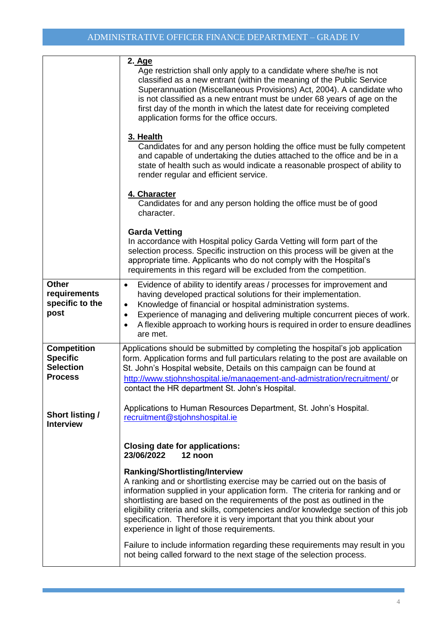|                                                                             | 2. Age<br>Age restriction shall only apply to a candidate where she/he is not<br>classified as a new entrant (within the meaning of the Public Service<br>Superannuation (Miscellaneous Provisions) Act, 2004). A candidate who<br>is not classified as a new entrant must be under 68 years of age on the<br>first day of the month in which the latest date for receiving completed<br>application forms for the office occurs.                                                         |
|-----------------------------------------------------------------------------|-------------------------------------------------------------------------------------------------------------------------------------------------------------------------------------------------------------------------------------------------------------------------------------------------------------------------------------------------------------------------------------------------------------------------------------------------------------------------------------------|
|                                                                             | 3. Health<br>Candidates for and any person holding the office must be fully competent<br>and capable of undertaking the duties attached to the office and be in a<br>state of health such as would indicate a reasonable prospect of ability to<br>render regular and efficient service.                                                                                                                                                                                                  |
|                                                                             | 4. Character<br>Candidates for and any person holding the office must be of good<br>character.                                                                                                                                                                                                                                                                                                                                                                                            |
|                                                                             | <b>Garda Vetting</b><br>In accordance with Hospital policy Garda Vetting will form part of the<br>selection process. Specific instruction on this process will be given at the<br>appropriate time. Applicants who do not comply with the Hospital's<br>requirements in this regard will be excluded from the competition.                                                                                                                                                                |
| Other<br>requirements<br>specific to the<br>post                            | Evidence of ability to identify areas / processes for improvement and<br>$\bullet$<br>having developed practical solutions for their implementation.<br>Knowledge of financial or hospital administration systems.<br>$\bullet$<br>Experience of managing and delivering multiple concurrent pieces of work.<br>٠<br>A flexible approach to working hours is required in order to ensure deadlines<br>$\bullet$<br>are met.                                                               |
| <b>Competition</b><br><b>Specific</b><br><b>Selection</b><br><b>Process</b> | Applications should be submitted by completing the hospital's job application<br>form. Application forms and full particulars relating to the post are available on<br>St. John's Hospital website, Details on this campaign can be found at<br>http://www.stjohnshospital.ie/management-and-admistration/recruitment/ or<br>contact the HR department St. John's Hospital.                                                                                                               |
| <b>Short listing /</b><br><b>Interview</b>                                  | Applications to Human Resources Department, St. John's Hospital.<br>recruitment@stjohnshospital.ie                                                                                                                                                                                                                                                                                                                                                                                        |
|                                                                             | <b>Closing date for applications:</b><br>23/06/2022<br>12 noon                                                                                                                                                                                                                                                                                                                                                                                                                            |
|                                                                             | Ranking/Shortlisting/Interview<br>A ranking and or shortlisting exercise may be carried out on the basis of<br>information supplied in your application form. The criteria for ranking and or<br>shortlisting are based on the requirements of the post as outlined in the<br>eligibility criteria and skills, competencies and/or knowledge section of this job<br>specification. Therefore it is very important that you think about your<br>experience in light of those requirements. |
|                                                                             | Failure to include information regarding these requirements may result in you<br>not being called forward to the next stage of the selection process.                                                                                                                                                                                                                                                                                                                                     |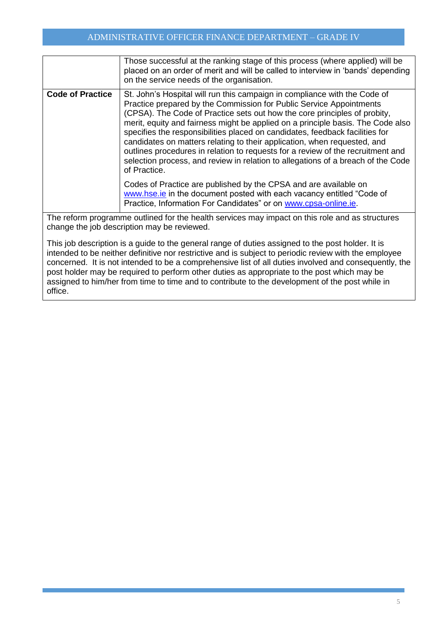### ADMINISTRATIVE OFFICER FINANCE DEPARTMENT – GRADE IV

|                         | Those successful at the ranking stage of this process (where applied) will be<br>placed on an order of merit and will be called to interview in 'bands' depending<br>on the service needs of the organisation.                                                                                                                                                                                                                                                                                                                                                                                                                                                      |
|-------------------------|---------------------------------------------------------------------------------------------------------------------------------------------------------------------------------------------------------------------------------------------------------------------------------------------------------------------------------------------------------------------------------------------------------------------------------------------------------------------------------------------------------------------------------------------------------------------------------------------------------------------------------------------------------------------|
| <b>Code of Practice</b> | St. John's Hospital will run this campaign in compliance with the Code of<br>Practice prepared by the Commission for Public Service Appointments<br>(CPSA). The Code of Practice sets out how the core principles of probity,<br>merit, equity and fairness might be applied on a principle basis. The Code also<br>specifies the responsibilities placed on candidates, feedback facilities for<br>candidates on matters relating to their application, when requested, and<br>outlines procedures in relation to requests for a review of the recruitment and<br>selection process, and review in relation to allegations of a breach of the Code<br>of Practice. |
|                         | Codes of Practice are published by the CPSA and are available on<br>www.hse.ie in the document posted with each vacancy entitled "Code of<br>Practice, Information For Candidates" or on www.cpsa-online.ie.                                                                                                                                                                                                                                                                                                                                                                                                                                                        |
|                         | The reform programme outlined for the health services may impact on this role and as structures<br>change the job description may be reviewed.<br>This ish description is a quide to the general renge of duties assigned to the peot belder. It is                                                                                                                                                                                                                                                                                                                                                                                                                 |

This job description is a guide to the general range of duties assigned to the post holder. It is intended to be neither definitive nor restrictive and is subject to periodic review with the employee concerned. It is not intended to be a comprehensive list of all duties involved and consequently, the post holder may be required to perform other duties as appropriate to the post which may be assigned to him/her from time to time and to contribute to the development of the post while in office.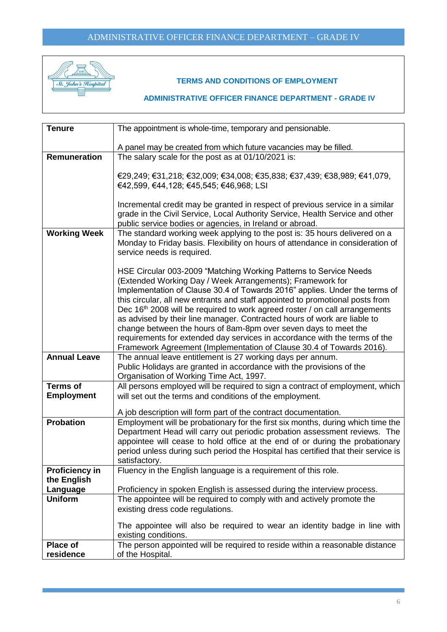

#### **TERMS AND CONDITIONS OF EMPLOYMENT**

# **ADMINISTRATIVE OFFICER FINANCE DEPARTMENT - GRADE IV**

| <b>Tenure</b>         | The appointment is whole-time, temporary and pensionable.                                                                                                                                                                                                                                                                                                                                                                                                                                                                                                                                                                                                                                     |
|-----------------------|-----------------------------------------------------------------------------------------------------------------------------------------------------------------------------------------------------------------------------------------------------------------------------------------------------------------------------------------------------------------------------------------------------------------------------------------------------------------------------------------------------------------------------------------------------------------------------------------------------------------------------------------------------------------------------------------------|
|                       | A panel may be created from which future vacancies may be filled.                                                                                                                                                                                                                                                                                                                                                                                                                                                                                                                                                                                                                             |
| Remuneration          | The salary scale for the post as at 01/10/2021 is:                                                                                                                                                                                                                                                                                                                                                                                                                                                                                                                                                                                                                                            |
|                       | €29,249; €31,218; €32,009; €34,008; €35,838; €37,439; €38,989; €41,079,<br>€42,599, €44,128; €45,545; €46,968; LSI                                                                                                                                                                                                                                                                                                                                                                                                                                                                                                                                                                            |
|                       | Incremental credit may be granted in respect of previous service in a similar<br>grade in the Civil Service, Local Authority Service, Health Service and other<br>public service bodies or agencies, in Ireland or abroad.                                                                                                                                                                                                                                                                                                                                                                                                                                                                    |
| <b>Working Week</b>   | The standard working week applying to the post is: 35 hours delivered on a<br>Monday to Friday basis. Flexibility on hours of attendance in consideration of<br>service needs is required.                                                                                                                                                                                                                                                                                                                                                                                                                                                                                                    |
|                       | HSE Circular 003-2009 "Matching Working Patterns to Service Needs<br>(Extended Working Day / Week Arrangements); Framework for<br>Implementation of Clause 30.4 of Towards 2016" applies. Under the terms of<br>this circular, all new entrants and staff appointed to promotional posts from<br>Dec 16 <sup>th</sup> 2008 will be required to work agreed roster / on call arrangements<br>as advised by their line manager. Contracted hours of work are liable to<br>change between the hours of 8am-8pm over seven days to meet the<br>requirements for extended day services in accordance with the terms of the<br>Framework Agreement (Implementation of Clause 30.4 of Towards 2016). |
| <b>Annual Leave</b>   | The annual leave entitlement is 27 working days per annum.<br>Public Holidays are granted in accordance with the provisions of the<br>Organisation of Working Time Act, 1997.                                                                                                                                                                                                                                                                                                                                                                                                                                                                                                                 |
| <b>Terms of</b>       | All persons employed will be required to sign a contract of employment, which                                                                                                                                                                                                                                                                                                                                                                                                                                                                                                                                                                                                                 |
| <b>Employment</b>     | will set out the terms and conditions of the employment.                                                                                                                                                                                                                                                                                                                                                                                                                                                                                                                                                                                                                                      |
|                       | A job description will form part of the contract documentation.                                                                                                                                                                                                                                                                                                                                                                                                                                                                                                                                                                                                                               |
| <b>Probation</b>      | Employment will be probationary for the first six months, during which time the                                                                                                                                                                                                                                                                                                                                                                                                                                                                                                                                                                                                               |
|                       | Department Head will carry out periodic probation assessment reviews. The<br>appointee will cease to hold office at the end of or during the probationary<br>period unless during such period the Hospital has certified that their service is<br>satisfactory.                                                                                                                                                                                                                                                                                                                                                                                                                               |
| <b>Proficiency in</b> | Fluency in the English language is a requirement of this role.                                                                                                                                                                                                                                                                                                                                                                                                                                                                                                                                                                                                                                |
| the English           |                                                                                                                                                                                                                                                                                                                                                                                                                                                                                                                                                                                                                                                                                               |
| Language              | Proficiency in spoken English is assessed during the interview process.                                                                                                                                                                                                                                                                                                                                                                                                                                                                                                                                                                                                                       |
| <b>Uniform</b>        | The appointee will be required to comply with and actively promote the                                                                                                                                                                                                                                                                                                                                                                                                                                                                                                                                                                                                                        |
|                       | existing dress code regulations.                                                                                                                                                                                                                                                                                                                                                                                                                                                                                                                                                                                                                                                              |
|                       | The appointee will also be required to wear an identity badge in line with<br>existing conditions.                                                                                                                                                                                                                                                                                                                                                                                                                                                                                                                                                                                            |
| <b>Place of</b>       | The person appointed will be required to reside within a reasonable distance                                                                                                                                                                                                                                                                                                                                                                                                                                                                                                                                                                                                                  |
| residence             | of the Hospital.                                                                                                                                                                                                                                                                                                                                                                                                                                                                                                                                                                                                                                                                              |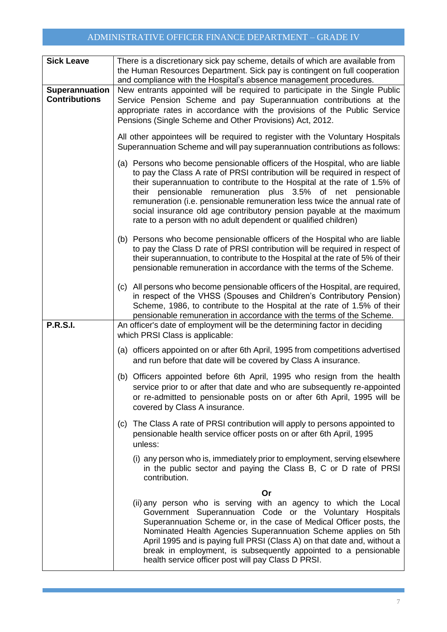# ADMINISTRATIVE OFFICER FINANCE DEPARTMENT – GRADE IV

| <b>Sick Leave</b>                      | There is a discretionary sick pay scheme, details of which are available from<br>the Human Resources Department. Sick pay is contingent on full cooperation                                                                                                                                                                                                                                                                                                                                                                       |
|----------------------------------------|-----------------------------------------------------------------------------------------------------------------------------------------------------------------------------------------------------------------------------------------------------------------------------------------------------------------------------------------------------------------------------------------------------------------------------------------------------------------------------------------------------------------------------------|
|                                        | and compliance with the Hospital's absence management procedures.                                                                                                                                                                                                                                                                                                                                                                                                                                                                 |
| Superannuation<br><b>Contributions</b> | New entrants appointed will be required to participate in the Single Public<br>Service Pension Scheme and pay Superannuation contributions at the<br>appropriate rates in accordance with the provisions of the Public Service<br>Pensions (Single Scheme and Other Provisions) Act, 2012.                                                                                                                                                                                                                                        |
|                                        | All other appointees will be required to register with the Voluntary Hospitals<br>Superannuation Scheme and will pay superannuation contributions as follows:                                                                                                                                                                                                                                                                                                                                                                     |
|                                        | (a) Persons who become pensionable officers of the Hospital, who are liable<br>to pay the Class A rate of PRSI contribution will be required in respect of<br>their superannuation to contribute to the Hospital at the rate of 1.5% of<br>their pensionable<br>remuneration plus 3.5% of net pensionable<br>remuneration (i.e. pensionable remuneration less twice the annual rate of<br>social insurance old age contributory pension payable at the maximum<br>rate to a person with no adult dependent or qualified children) |
|                                        | (b) Persons who become pensionable officers of the Hospital who are liable<br>to pay the Class D rate of PRSI contribution will be required in respect of<br>their superannuation, to contribute to the Hospital at the rate of 5% of their<br>pensionable remuneration in accordance with the terms of the Scheme.                                                                                                                                                                                                               |
|                                        | (c) All persons who become pensionable officers of the Hospital, are required,<br>in respect of the VHSS (Spouses and Children's Contributory Pension)<br>Scheme, 1986, to contribute to the Hospital at the rate of 1.5% of their<br>pensionable remuneration in accordance with the terms of the Scheme.                                                                                                                                                                                                                        |
| <b>P.R.S.I.</b>                        | An officer's date of employment will be the determining factor in deciding<br>which PRSI Class is applicable:                                                                                                                                                                                                                                                                                                                                                                                                                     |
|                                        | (a) officers appointed on or after 6th April, 1995 from competitions advertised<br>and run before that date will be covered by Class A insurance.                                                                                                                                                                                                                                                                                                                                                                                 |
|                                        | (b) Officers appointed before 6th April, 1995 who resign from the health<br>service prior to or after that date and who are subsequently re-appointed<br>or re-admitted to pensionable posts on or after 6th April, 1995 will be<br>covered by Class A insurance.                                                                                                                                                                                                                                                                 |
|                                        | The Class A rate of PRSI contribution will apply to persons appointed to<br>(c)<br>pensionable health service officer posts on or after 6th April, 1995<br>unless:                                                                                                                                                                                                                                                                                                                                                                |
|                                        | (i) any person who is, immediately prior to employment, serving elsewhere<br>in the public sector and paying the Class B, C or D rate of PRSI<br>contribution.                                                                                                                                                                                                                                                                                                                                                                    |
|                                        | Or<br>(ii) any person who is serving with an agency to which the Local<br>Government Superannuation Code or the Voluntary Hospitals<br>Superannuation Scheme or, in the case of Medical Officer posts, the<br>Nominated Health Agencies Superannuation Scheme applies on 5th<br>April 1995 and is paying full PRSI (Class A) on that date and, without a<br>break in employment, is subsequently appointed to a pensionable<br>health service officer post will pay Class D PRSI.                                                 |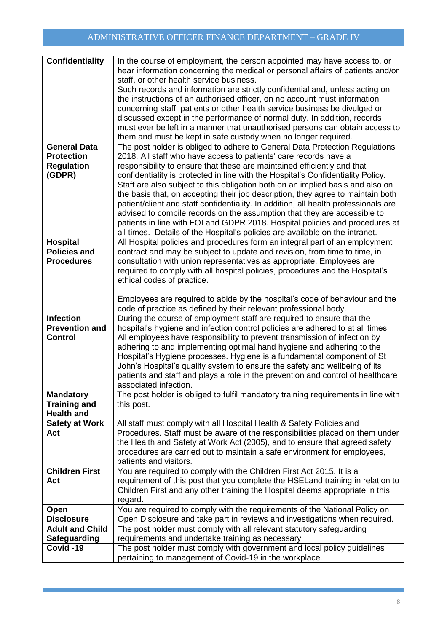| <b>Confidentiality</b> | In the course of employment, the person appointed may have access to, or<br>hear information concerning the medical or personal affairs of patients and/or<br>staff, or other health service business.<br>Such records and information are strictly confidential and, unless acting on<br>the instructions of an authorised officer, on no account must information<br>concerning staff, patients or other health service business be divulged or<br>discussed except in the performance of normal duty. In addition, records<br>must ever be left in a manner that unauthorised persons can obtain access to<br>them and must be kept in safe custody when no longer required. |
|------------------------|---------------------------------------------------------------------------------------------------------------------------------------------------------------------------------------------------------------------------------------------------------------------------------------------------------------------------------------------------------------------------------------------------------------------------------------------------------------------------------------------------------------------------------------------------------------------------------------------------------------------------------------------------------------------------------|
| <b>General Data</b>    | The post holder is obliged to adhere to General Data Protection Regulations                                                                                                                                                                                                                                                                                                                                                                                                                                                                                                                                                                                                     |
| <b>Protection</b>      | 2018. All staff who have access to patients' care records have a                                                                                                                                                                                                                                                                                                                                                                                                                                                                                                                                                                                                                |
| <b>Regulation</b>      | responsibility to ensure that these are maintained efficiently and that                                                                                                                                                                                                                                                                                                                                                                                                                                                                                                                                                                                                         |
| (GDPR)                 | confidentiality is protected in line with the Hospital's Confidentiality Policy.                                                                                                                                                                                                                                                                                                                                                                                                                                                                                                                                                                                                |
|                        | Staff are also subject to this obligation both on an implied basis and also on                                                                                                                                                                                                                                                                                                                                                                                                                                                                                                                                                                                                  |
|                        | the basis that, on accepting their job description, they agree to maintain both                                                                                                                                                                                                                                                                                                                                                                                                                                                                                                                                                                                                 |
|                        | patient/client and staff confidentiality. In addition, all health professionals are                                                                                                                                                                                                                                                                                                                                                                                                                                                                                                                                                                                             |
|                        | advised to compile records on the assumption that they are accessible to                                                                                                                                                                                                                                                                                                                                                                                                                                                                                                                                                                                                        |
|                        | patients in line with FOI and GDPR 2018. Hospital policies and procedures at                                                                                                                                                                                                                                                                                                                                                                                                                                                                                                                                                                                                    |
|                        | all times. Details of the Hospital's policies are available on the intranet.                                                                                                                                                                                                                                                                                                                                                                                                                                                                                                                                                                                                    |
| <b>Hospital</b>        | All Hospital policies and procedures form an integral part of an employment                                                                                                                                                                                                                                                                                                                                                                                                                                                                                                                                                                                                     |
| <b>Policies and</b>    | contract and may be subject to update and revision, from time to time, in                                                                                                                                                                                                                                                                                                                                                                                                                                                                                                                                                                                                       |
| <b>Procedures</b>      | consultation with union representatives as appropriate. Employees are                                                                                                                                                                                                                                                                                                                                                                                                                                                                                                                                                                                                           |
|                        | required to comply with all hospital policies, procedures and the Hospital's                                                                                                                                                                                                                                                                                                                                                                                                                                                                                                                                                                                                    |
|                        | ethical codes of practice.                                                                                                                                                                                                                                                                                                                                                                                                                                                                                                                                                                                                                                                      |
|                        |                                                                                                                                                                                                                                                                                                                                                                                                                                                                                                                                                                                                                                                                                 |
|                        | Employees are required to abide by the hospital's code of behaviour and the                                                                                                                                                                                                                                                                                                                                                                                                                                                                                                                                                                                                     |
|                        | code of practice as defined by their relevant professional body.                                                                                                                                                                                                                                                                                                                                                                                                                                                                                                                                                                                                                |
| <b>Infection</b>       | During the course of employment staff are required to ensure that the                                                                                                                                                                                                                                                                                                                                                                                                                                                                                                                                                                                                           |
| <b>Prevention and</b>  | hospital's hygiene and infection control policies are adhered to at all times.                                                                                                                                                                                                                                                                                                                                                                                                                                                                                                                                                                                                  |
| <b>Control</b>         | All employees have responsibility to prevent transmission of infection by                                                                                                                                                                                                                                                                                                                                                                                                                                                                                                                                                                                                       |
|                        | adhering to and implementing optimal hand hygiene and adhering to the                                                                                                                                                                                                                                                                                                                                                                                                                                                                                                                                                                                                           |
|                        |                                                                                                                                                                                                                                                                                                                                                                                                                                                                                                                                                                                                                                                                                 |
|                        | Hospital's Hygiene processes. Hygiene is a fundamental component of St                                                                                                                                                                                                                                                                                                                                                                                                                                                                                                                                                                                                          |
|                        | John's Hospital's quality system to ensure the safety and wellbeing of its                                                                                                                                                                                                                                                                                                                                                                                                                                                                                                                                                                                                      |
|                        | patients and staff and plays a role in the prevention and control of healthcare                                                                                                                                                                                                                                                                                                                                                                                                                                                                                                                                                                                                 |
|                        | associated infection.                                                                                                                                                                                                                                                                                                                                                                                                                                                                                                                                                                                                                                                           |
| <b>Mandatory</b>       | The post holder is obliged to fulfil mandatory training requirements in line with                                                                                                                                                                                                                                                                                                                                                                                                                                                                                                                                                                                               |
| <b>Training and</b>    | this post.                                                                                                                                                                                                                                                                                                                                                                                                                                                                                                                                                                                                                                                                      |
| <b>Health and</b>      |                                                                                                                                                                                                                                                                                                                                                                                                                                                                                                                                                                                                                                                                                 |
| <b>Safety at Work</b>  | All staff must comply with all Hospital Health & Safety Policies and                                                                                                                                                                                                                                                                                                                                                                                                                                                                                                                                                                                                            |
| Act                    | Procedures. Staff must be aware of the responsibilities placed on them under                                                                                                                                                                                                                                                                                                                                                                                                                                                                                                                                                                                                    |
|                        | the Health and Safety at Work Act (2005), and to ensure that agreed safety                                                                                                                                                                                                                                                                                                                                                                                                                                                                                                                                                                                                      |
|                        | procedures are carried out to maintain a safe environment for employees,                                                                                                                                                                                                                                                                                                                                                                                                                                                                                                                                                                                                        |
|                        | patients and visitors.                                                                                                                                                                                                                                                                                                                                                                                                                                                                                                                                                                                                                                                          |
| <b>Children First</b>  | You are required to comply with the Children First Act 2015. It is a                                                                                                                                                                                                                                                                                                                                                                                                                                                                                                                                                                                                            |
| Act                    | requirement of this post that you complete the HSEL and training in relation to                                                                                                                                                                                                                                                                                                                                                                                                                                                                                                                                                                                                 |
|                        | Children First and any other training the Hospital deems appropriate in this                                                                                                                                                                                                                                                                                                                                                                                                                                                                                                                                                                                                    |
|                        | regard.                                                                                                                                                                                                                                                                                                                                                                                                                                                                                                                                                                                                                                                                         |
| Open                   | You are required to comply with the requirements of the National Policy on                                                                                                                                                                                                                                                                                                                                                                                                                                                                                                                                                                                                      |
| <b>Disclosure</b>      | Open Disclosure and take part in reviews and investigations when required.                                                                                                                                                                                                                                                                                                                                                                                                                                                                                                                                                                                                      |
| <b>Adult and Child</b> | The post holder must comply with all relevant statutory safeguarding                                                                                                                                                                                                                                                                                                                                                                                                                                                                                                                                                                                                            |
| <b>Safeguarding</b>    | requirements and undertake training as necessary                                                                                                                                                                                                                                                                                                                                                                                                                                                                                                                                                                                                                                |
| Covid-19               | The post holder must comply with government and local policy guidelines                                                                                                                                                                                                                                                                                                                                                                                                                                                                                                                                                                                                         |
|                        | pertaining to management of Covid-19 in the workplace.                                                                                                                                                                                                                                                                                                                                                                                                                                                                                                                                                                                                                          |